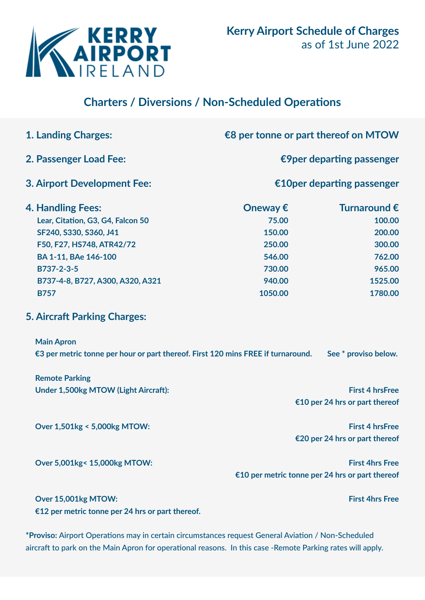

## **Charters / Diversions / Non-Scheduled Operations**

| <b>1. Landing Charges:</b>                                                                                                                   | €8 per tonne or part thereof on MTOW |                                                 |
|----------------------------------------------------------------------------------------------------------------------------------------------|--------------------------------------|-------------------------------------------------|
| 2. Passenger Load Fee:                                                                                                                       | €9 per departing passenger           |                                                 |
| 3. Airport Development Fee:                                                                                                                  | €10 per departing passenger          |                                                 |
| <b>4. Handling Fees:</b>                                                                                                                     | Oneway $\epsilon$                    | Turnaround €                                    |
| Lear, Citation, G3, G4, Falcon 50                                                                                                            | 75.00                                | 100.00                                          |
| SF240, S330, S360, J41                                                                                                                       | 150.00                               | 200.00                                          |
| F50, F27, HS748, ATR42/72                                                                                                                    | 250.00                               | 300.00                                          |
| BA 1-11, BAe 146-100                                                                                                                         | 546.00                               | 762.00                                          |
| B737-2-3-5                                                                                                                                   | 730.00                               | 965.00                                          |
| B737-4-8, B727, A300, A320, A321                                                                                                             | 940.00                               | 1525.00                                         |
| <b>B757</b>                                                                                                                                  | 1050.00                              | 1780.00                                         |
| <b>5. Aircraft Parking Charges:</b><br><b>Main Apron</b><br>€3 per metric tonne per hour or part thereof. First 120 mins FREE if turnaround. |                                      | See * proviso below.                            |
| <b>Remote Parking</b>                                                                                                                        |                                      |                                                 |
| Under 1,500kg MTOW (Light Aircraft):                                                                                                         |                                      | <b>First 4 hrsFree</b>                          |
|                                                                                                                                              |                                      | €10 per 24 hrs or part thereof                  |
| Over 1,501kg < 5,000kg MTOW:                                                                                                                 |                                      | <b>First 4 hrsFree</b>                          |
|                                                                                                                                              |                                      | €20 per 24 hrs or part thereof                  |
| Over 5,001kg< 15,000kg MTOW:                                                                                                                 |                                      | <b>First 4hrs Free</b>                          |
|                                                                                                                                              |                                      | €10 per metric tonne per 24 hrs or part thereof |
| Over 15,001kg MTOW:<br>€12 per metric tonne per 24 hrs or part thereof.                                                                      |                                      | <b>First 4hrs Free</b>                          |

**\*Proviso:** Airport Operations may in certain circumstances request General Aviation / Non-Scheduled aircraft to park on the Main Apron for operational reasons. In this case -Remote Parking rates will apply.